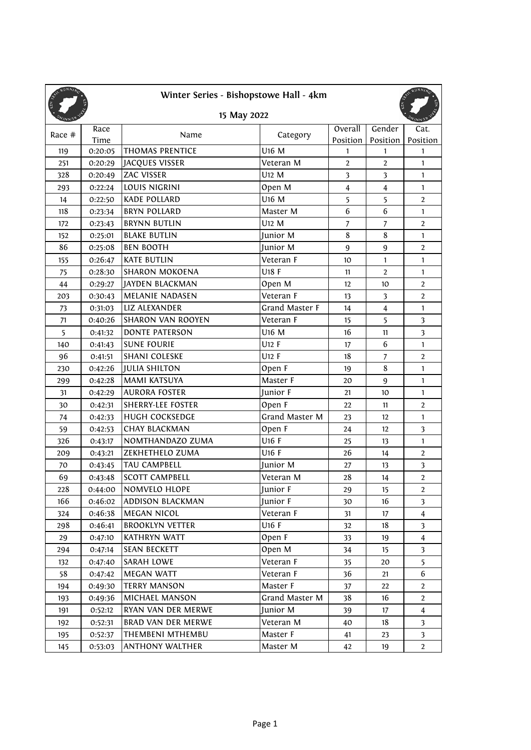| Winter Series - Bishopstowe Hall - 4km<br>15 May 2022 |         |                           |                       |                         |                         |                         |  |  |  |
|-------------------------------------------------------|---------|---------------------------|-----------------------|-------------------------|-------------------------|-------------------------|--|--|--|
| 1N N                                                  | Race    |                           |                       | Overall                 | Gender                  | Cat.                    |  |  |  |
| Race #                                                | Time    | Name                      | Category              | Position                | Position                | Position                |  |  |  |
| 119                                                   | 0:20:05 | <b>THOMAS PRENTICE</b>    | U16 M                 | 1                       | 1                       | $\mathbf{1}$            |  |  |  |
| 251                                                   | 0:20:29 | <b>JACQUES VISSER</b>     | Veteran M             | $\overline{2}$          | $\overline{2}$          | $\mathbf{1}$            |  |  |  |
| 328                                                   | 0:20:49 | <b>ZAC VISSER</b>         | U12 M                 | $\overline{\mathbf{3}}$ | $\overline{\mathbf{3}}$ | $\mathbf{1}$            |  |  |  |
| 293                                                   | 0:22:24 | LOUIS NIGRINI             | Open M                | $\overline{4}$          | $\overline{4}$          | $\mathbf{1}$            |  |  |  |
| 14                                                    | 0:22:50 | <b>KADE POLLARD</b>       | U16 M                 | 5                       | 5                       | $\overline{2}$          |  |  |  |
| 118                                                   | 0:23:34 | <b>BRYN POLLARD</b>       | Master M              | 6                       | 6                       | $\mathbf{1}$            |  |  |  |
| 172                                                   | 0:23:43 | <b>BRYNN BUTLIN</b>       | U12 M                 | $\overline{7}$          | $\overline{7}$          | $\overline{2}$          |  |  |  |
| 152                                                   | 0:25:01 | <b>BLAKE BUTLIN</b>       | Junior M              | 8                       | 8                       | $\mathbf{1}$            |  |  |  |
| 86                                                    | 0:25:08 | <b>BEN BOOTH</b>          | Junior M              | 9                       | $\boldsymbol{9}$        | $\overline{2}$          |  |  |  |
| 155                                                   | 0:26:47 | <b>KATE BUTLIN</b>        | Veteran F             | 10                      | 1                       | 1                       |  |  |  |
| 75                                                    | 0:28:30 | <b>SHARON MOKOENA</b>     | U18 F                 | 11                      | $\overline{2}$          | $\mathbf{1}$            |  |  |  |
| 44                                                    | 0:29:27 | <b>JAYDEN BLACKMAN</b>    | Open M                | 12                      | 10                      | $\overline{2}$          |  |  |  |
| 203                                                   | 0:30:43 | <b>MELANIE NADASEN</b>    | Veteran F             | 13                      | $\overline{\mathbf{3}}$ | $\overline{2}$          |  |  |  |
| 73                                                    | 0:31:03 | <b>LIZ ALEXANDER</b>      | <b>Grand Master F</b> | 14                      | $\overline{\mathbf{4}}$ | $\mathbf{1}$            |  |  |  |
| 71                                                    | 0:40:26 | <b>SHARON VAN ROOYEN</b>  | Veteran F             | 15                      | 5                       | 3                       |  |  |  |
| 5                                                     | 0:41:32 | <b>DONTE PATERSON</b>     | U16 M                 | 16                      | 11                      | $\overline{\mathbf{3}}$ |  |  |  |
| 140                                                   | 0:41:43 | <b>SUNE FOURIE</b>        | U12 F                 | 17                      | 6                       | $\mathbf{1}$            |  |  |  |
| 96                                                    | 0:41:51 | <b>SHANI COLESKE</b>      | U12 F                 | 18                      | $\overline{7}$          | $\overline{2}$          |  |  |  |
| 230                                                   | 0:42:26 | <b>JULIA SHILTON</b>      | Open F                | 19                      | 8                       | $\mathbf{1}$            |  |  |  |
| 299                                                   | 0:42:28 | <b>MAMI KATSUYA</b>       | Master F              | 20                      | 9                       | 1                       |  |  |  |
| 31                                                    | 0:42:29 | <b>AURORA FOSTER</b>      | Junior F              | 21                      | 10                      | $\mathbf{1}$            |  |  |  |
| 30                                                    | 0:42:31 | <b>SHERRY-LEE FOSTER</b>  | Open F                | 22                      | 11                      | $\overline{2}$          |  |  |  |
| 74                                                    | 0:42:33 | <b>HUGH COCKSEDGE</b>     | Grand Master M        | 23                      | 12                      | 1                       |  |  |  |
| 59                                                    | 0:42:53 | <b>CHAY BLACKMAN</b>      | Open F                | 24                      | 12                      | $\overline{\mathbf{3}}$ |  |  |  |
| 326                                                   | 0:43:17 | NOMTHANDAZO ZUMA          | U16 F                 | 25                      | 13                      | 1                       |  |  |  |
| 209                                                   | 0:43:21 | ZEKHETHELO ZUMA           | U16 F                 | 26                      | 14                      | $\overline{2}$          |  |  |  |
| 70                                                    | 0:43:45 | TAU CAMPBELL              | Junior M              | 27                      | 13                      | 3                       |  |  |  |
| 69                                                    | 0:43:48 | <b>SCOTT CAMPBELL</b>     | Veteran M             | 28                      | 14                      | $\overline{2}$          |  |  |  |
| 228                                                   | 0:44:00 | NOMVELO HLOPE             | Junior F              | 29                      | 15                      | $\overline{2}$          |  |  |  |
| 166                                                   | 0:46:02 | <b>ADDISON BLACKMAN</b>   | Junior F              | 30                      | 16                      | 3                       |  |  |  |
| 324                                                   | 0:46:38 | <b>MEGAN NICOL</b>        | Veteran F             | 31                      | 17                      | $\overline{4}$          |  |  |  |
| 298                                                   | 0:46:41 | <b>BROOKLYN VETTER</b>    | U16 F                 | 32                      | 18                      | $\overline{\mathbf{3}}$ |  |  |  |
| 29                                                    | 0:47:10 | <b>KATHRYN WATT</b>       | Open F                | 33                      | 19                      | $\overline{4}$          |  |  |  |
| 294                                                   | 0:47:14 | <b>SEAN BECKETT</b>       | Open M                | 34                      | 15                      | $\overline{\mathbf{3}}$ |  |  |  |
| 132                                                   | 0:47:40 | SARAH LOWE                | Veteran F             | 35                      | 20                      | 5                       |  |  |  |
| 58                                                    | 0:47:42 | <b>MEGAN WATT</b>         | Veteran F             | 36                      | 21                      | 6                       |  |  |  |
| 194                                                   | 0:49:30 | <b>TERRY MANSON</b>       | Master F              | 37                      | 22                      | $\overline{2}$          |  |  |  |
| 193                                                   | 0:49:36 | <b>MICHAEL MANSON</b>     | Grand Master M        | 38                      | 16                      | $\overline{2}$          |  |  |  |
| 191                                                   | 0:52:12 | RYAN VAN DER MERWE        | Junior M              | 39                      | 17                      | $\overline{4}$          |  |  |  |
| 192                                                   | 0:52:31 | <b>BRAD VAN DER MERWE</b> | Veteran M             | 40                      | 18                      | 3                       |  |  |  |
| 195                                                   | 0:52:37 | <b>THEMBENI MTHEMBU</b>   | Master F              | 41                      | 23                      | $\mathbf{3}$            |  |  |  |
| 145                                                   | 0:53:03 | <b>ANTHONY WALTHER</b>    | Master M              | 42                      | 19                      | $\mathbf{2}$            |  |  |  |